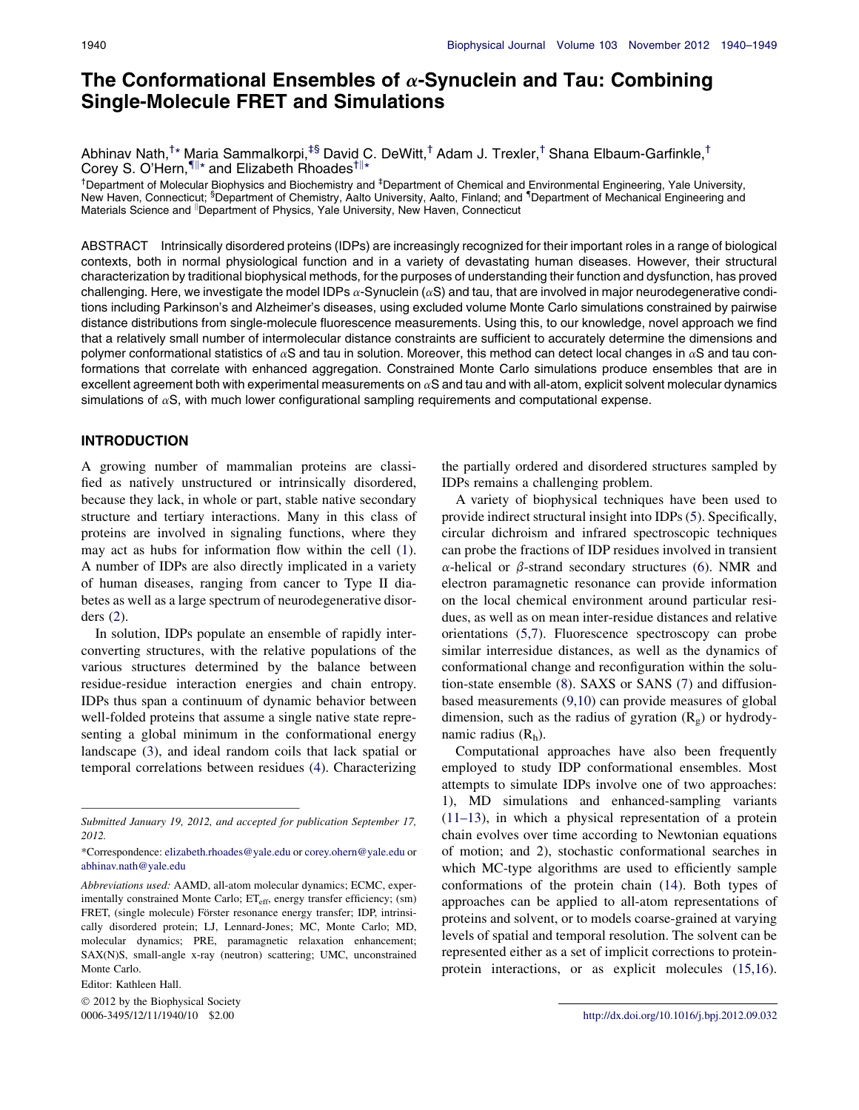# The Conformational Ensembles of  $\alpha$ -Synuclein and Tau: Combining Single-Molecule FRET and Simulations

Abhinav Nath,† \* Maria Sammalkorpi,‡§ David C. DeWitt,† Adam J. Trexler,† Shana Elbaum-Garfinkle,† Corey S. O'Hern, II<sup>\*</sup> and Elizabeth Rhoades<sup>†||\*</sup>

<sup>†</sup>Department of Molecular Biophysics and Biochemistry and <sup>‡</sup>Department of Chemical and Environmental Engineering, Yale University, New Haven, Connecticut; <sup>§</sup>Department of Chemistry, Aalto University, Aalto, Finland; and <sup>¶</sup>Department of Mechanical Engineering and Materials Science and <sup>||</sup>Department of Physics, Yale University, New Haven, Connecticut

ABSTRACT Intrinsically disordered proteins (IDPs) are increasingly recognized for their important roles in a range of biological contexts, both in normal physiological function and in a variety of devastating human diseases. However, their structural characterization by traditional biophysical methods, for the purposes of understanding their function and dysfunction, has proved challenging. Here, we investigate the model IDPs  $\alpha$ -Synuclein ( $\alpha$ S) and tau, that are involved in major neurodegenerative conditions including Parkinson's and Alzheimer's diseases, using excluded volume Monte Carlo simulations constrained by pairwise distance distributions from single-molecule fluorescence measurements. Using this, to our knowledge, novel approach we find that a relatively small number of intermolecular distance constraints are sufficient to accurately determine the dimensions and polymer conformational statistics of  $\alpha S$  and tau in solution. Moreover, this method can detect local changes in  $\alpha S$  and tau conformations that correlate with enhanced aggregation. Constrained Monte Carlo simulations produce ensembles that are in excellent agreement both with experimental measurements on  $\alpha S$  and tau and with all-atom, explicit solvent molecular dynamics simulations of  $\alpha S$ , with much lower configurational sampling requirements and computational expense.

# INTRODUCTION

A growing number of mammalian proteins are classified as natively unstructured or intrinsically disordered, because they lack, in whole or part, stable native secondary structure and tertiary interactions. Many in this class of proteins are involved in signaling functions, where they may act as hubs for information flow within the cell (1). A number of IDPs are also directly implicated in a variety of human diseases, ranging from cancer to Type II diabetes as well as a large spectrum of neurodegenerative disorders (2).

In solution, IDPs populate an ensemble of rapidly interconverting structures, with the relative populations of the various structures determined by the balance between residue-residue interaction energies and chain entropy. IDPs thus span a continuum of dynamic behavior between well-folded proteins that assume a single native state representing a global minimum in the conformational energy landscape (3), and ideal random coils that lack spatial or temporal correlations between residues (4). Characterizing

Editor: Kathleen Hall.  $©$  2012 by the Biophysical Society 0006-3495/12/11/1940/10 \$2.00 http://dx.doi.org/10.1016/j.bpj.2012.09.032

the partially ordered and disordered structures sampled by IDPs remains a challenging problem.

A variety of biophysical techniques have been used to provide indirect structural insight into IDPs (5). Specifically, circular dichroism and infrared spectroscopic techniques can probe the fractions of IDP residues involved in transient  $\alpha$ -helical or  $\beta$ -strand secondary structures (6). NMR and electron paramagnetic resonance can provide information on the local chemical environment around particular residues, as well as on mean inter-residue distances and relative orientations (5,7). Fluorescence spectroscopy can probe similar interresidue distances, as well as the dynamics of conformational change and reconfiguration within the solution-state ensemble (8). SAXS or SANS (7) and diffusionbased measurements (9,10) can provide measures of global dimension, such as the radius of gyration  $(R_g)$  or hydrodynamic radius  $(R<sub>h</sub>)$ .

Computational approaches have also been frequently employed to study IDP conformational ensembles. Most attempts to simulate IDPs involve one of two approaches: 1), MD simulations and enhanced-sampling variants (11–13), in which a physical representation of a protein chain evolves over time according to Newtonian equations of motion; and 2), stochastic conformational searches in which MC-type algorithms are used to efficiently sample conformations of the protein chain (14). Both types of approaches can be applied to all-atom representations of proteins and solvent, or to models coarse-grained at varying levels of spatial and temporal resolution. The solvent can be represented either as a set of implicit corrections to proteinprotein interactions, or as explicit molecules (15,16).

Submitted January 19, 2012, and accepted for publication September 17, 2012.

<sup>\*</sup>Correspondence: elizabeth.rhoades@yale.edu or corey.ohern@yale.edu or abhinav.nath@yale.edu

Abbreviations used: AAMD, all-atom molecular dynamics; ECMC, experimentally constrained Monte Carlo; ET<sub>eff</sub>, energy transfer efficiency; (sm) FRET, (single molecule) Förster resonance energy transfer; IDP, intrinsically disordered protein; LJ, Lennard-Jones; MC, Monte Carlo; MD, molecular dynamics; PRE, paramagnetic relaxation enhancement; SAX(N)S, small-angle x-ray (neutron) scattering; UMC, unconstrained Monte Carlo.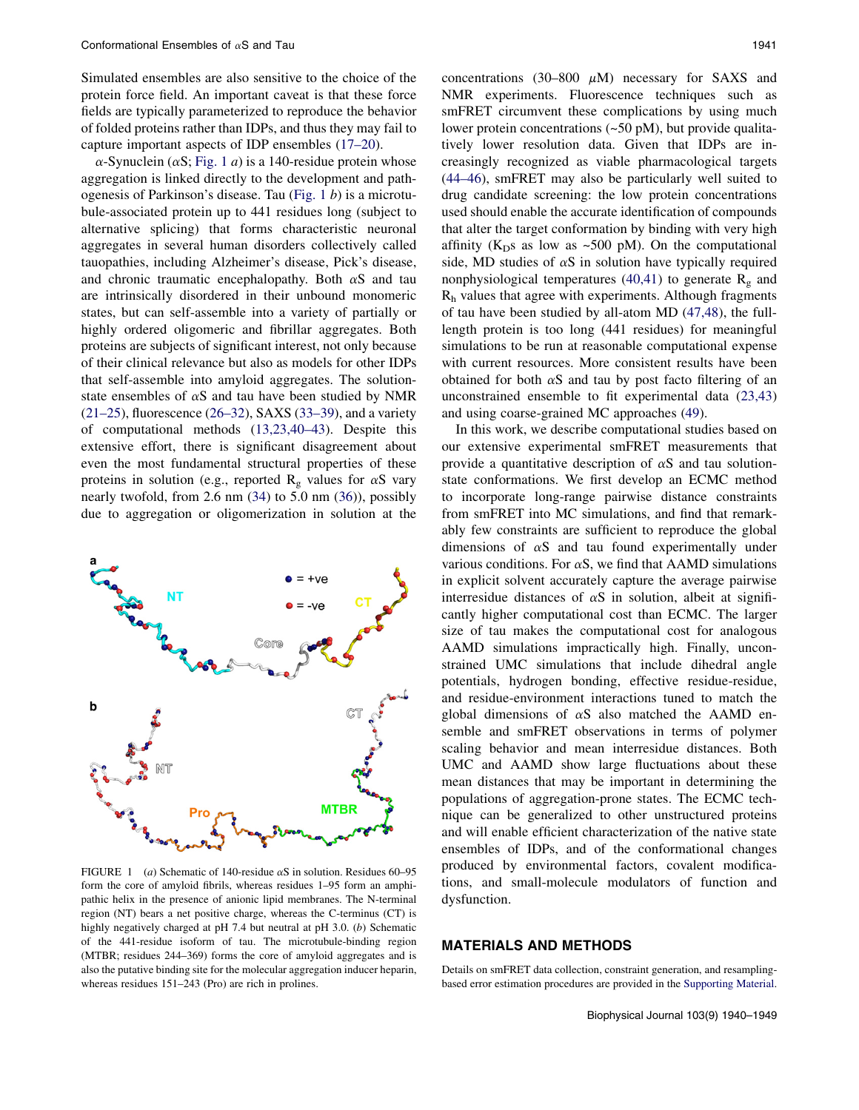Simulated ensembles are also sensitive to the choice of the protein force field. An important caveat is that these force fields are typically parameterized to reproduce the behavior of folded proteins rather than IDPs, and thus they may fail to capture important aspects of IDP ensembles (17–20).

 $\alpha$ -Synuclein ( $\alpha$ S; Fig. 1 *a*) is a 140-residue protein whose aggregation is linked directly to the development and pathogenesis of Parkinson's disease. Tau (Fig. 1 b) is a microtubule-associated protein up to 441 residues long (subject to alternative splicing) that forms characteristic neuronal aggregates in several human disorders collectively called tauopathies, including Alzheimer's disease, Pick's disease, and chronic traumatic encephalopathy. Both  $\alpha$ S and tau are intrinsically disordered in their unbound monomeric states, but can self-assemble into a variety of partially or highly ordered oligomeric and fibrillar aggregates. Both proteins are subjects of significant interest, not only because of their clinical relevance but also as models for other IDPs that self-assemble into amyloid aggregates. The solutionstate ensembles of  $\alpha S$  and tau have been studied by NMR  $(21–25)$ , fluorescence  $(26–32)$ , SAXS  $(33–39)$ , and a variety of computational methods (13,23,40–43). Despite this extensive effort, there is significant disagreement about even the most fundamental structural properties of these proteins in solution (e.g., reported  $R_g$  values for  $\alpha S$  vary nearly twofold, from 2.6 nm (34) to 5.0 nm (36)), possibly due to aggregation or oligomerization in solution at the



FIGURE 1 (a) Schematic of 140-residue  $\alpha$ S in solution. Residues 60–95 form the core of amyloid fibrils, whereas residues 1–95 form an amphipathic helix in the presence of anionic lipid membranes. The N-terminal region (NT) bears a net positive charge, whereas the C-terminus (CT) is highly negatively charged at pH 7.4 but neutral at pH 3.0. (b) Schematic of the 441-residue isoform of tau. The microtubule-binding region (MTBR; residues 244–369) forms the core of amyloid aggregates and is also the putative binding site for the molecular aggregation inducer heparin, whereas residues 151–243 (Pro) are rich in prolines.

concentrations (30–800  $\mu$ M) necessary for SAXS and NMR experiments. Fluorescence techniques such as smFRET circumvent these complications by using much lower protein concentrations (~50 pM), but provide qualitatively lower resolution data. Given that IDPs are increasingly recognized as viable pharmacological targets (44–46), smFRET may also be particularly well suited to drug candidate screening: the low protein concentrations used should enable the accurate identification of compounds that alter the target conformation by binding with very high affinity ( $K<sub>D</sub>s$  as low as ~500 pM). On the computational side, MD studies of  $\alpha S$  in solution have typically required nonphysiological temperatures (40,41) to generate  $R_g$  and Rh values that agree with experiments. Although fragments of tau have been studied by all-atom MD (47,48), the fulllength protein is too long (441 residues) for meaningful simulations to be run at reasonable computational expense with current resources. More consistent results have been obtained for both  $\alpha S$  and tau by post facto filtering of an unconstrained ensemble to fit experimental data (23,43) and using coarse-grained MC approaches (49).

In this work, we describe computational studies based on our extensive experimental smFRET measurements that provide a quantitative description of  $\alpha S$  and tau solutionstate conformations. We first develop an ECMC method to incorporate long-range pairwise distance constraints from smFRET into MC simulations, and find that remarkably few constraints are sufficient to reproduce the global dimensions of  $\alpha S$  and tau found experimentally under various conditions. For  $\alpha S$ , we find that AAMD simulations in explicit solvent accurately capture the average pairwise interresidue distances of  $\alpha S$  in solution, albeit at significantly higher computational cost than ECMC. The larger size of tau makes the computational cost for analogous AAMD simulations impractically high. Finally, unconstrained UMC simulations that include dihedral angle potentials, hydrogen bonding, effective residue-residue, and residue-environment interactions tuned to match the global dimensions of  $\alpha$ S also matched the AAMD ensemble and smFRET observations in terms of polymer scaling behavior and mean interresidue distances. Both UMC and AAMD show large fluctuations about these mean distances that may be important in determining the populations of aggregation-prone states. The ECMC technique can be generalized to other unstructured proteins and will enable efficient characterization of the native state ensembles of IDPs, and of the conformational changes produced by environmental factors, covalent modifications, and small-molecule modulators of function and dysfunction.

# MATERIALS AND METHODS

Details on smFRET data collection, constraint generation, and resamplingbased error estimation procedures are provided in the Supporting Material.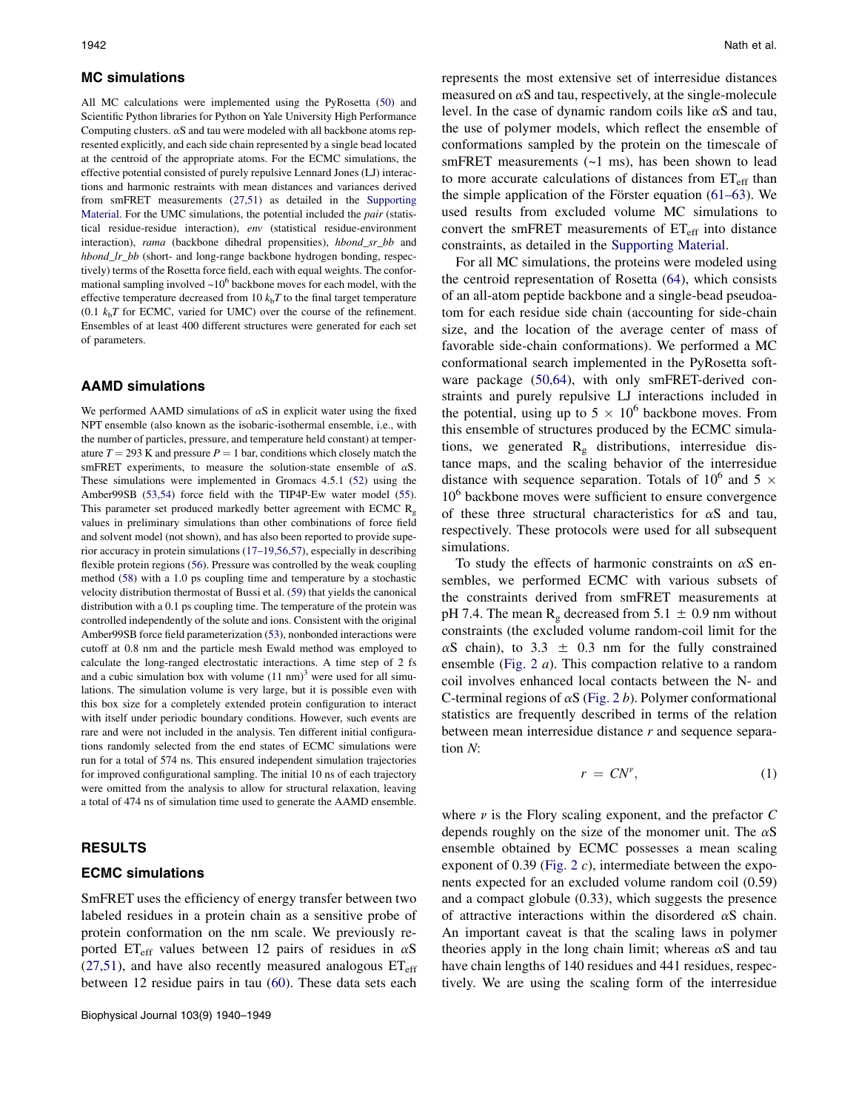## MC simulations

All MC calculations were implemented using the PyRosetta (50) and Scientific Python libraries for Python on Yale University High Performance Computing clusters.  $\alpha S$  and tau were modeled with all backbone atoms represented explicitly, and each side chain represented by a single bead located at the centroid of the appropriate atoms. For the ECMC simulations, the effective potential consisted of purely repulsive Lennard Jones (LJ) interactions and harmonic restraints with mean distances and variances derived from smFRET measurements (27,51) as detailed in the Supporting Material. For the UMC simulations, the potential included the *pair* (statistical residue-residue interaction), env (statistical residue-environment interaction), rama (backbone dihedral propensities), hbond\_sr\_bb and hbond\_lr\_bb (short- and long-range backbone hydrogen bonding, respectively) terms of the Rosetta force field, each with equal weights. The conformational sampling involved  $\sim 10^6$  backbone moves for each model, with the effective temperature decreased from 10  $k<sub>b</sub>T$  to the final target temperature  $(0.1 \ k<sub>b</sub>T$  for ECMC, varied for UMC) over the course of the refinement. Ensembles of at least 400 different structures were generated for each set of parameters.

#### AAMD simulations

We performed AAMD simulations of  $\alpha S$  in explicit water using the fixed NPT ensemble (also known as the isobaric-isothermal ensemble, i.e., with the number of particles, pressure, and temperature held constant) at temperature  $T = 293$  K and pressure  $P = 1$  bar, conditions which closely match the smFRET experiments, to measure the solution-state ensemble of  $\alpha S$ . These simulations were implemented in Gromacs 4.5.1 (52) using the Amber99SB (53,54) force field with the TIP4P-Ew water model (55). This parameter set produced markedly better agreement with ECMC  $R_{g}$ values in preliminary simulations than other combinations of force field and solvent model (not shown), and has also been reported to provide superior accuracy in protein simulations (17–19,56,57), especially in describing flexible protein regions (56). Pressure was controlled by the weak coupling method (58) with a 1.0 ps coupling time and temperature by a stochastic velocity distribution thermostat of Bussi et al. (59) that yields the canonical distribution with a 0.1 ps coupling time. The temperature of the protein was controlled independently of the solute and ions. Consistent with the original Amber99SB force field parameterization (53), nonbonded interactions were cutoff at 0.8 nm and the particle mesh Ewald method was employed to calculate the long-ranged electrostatic interactions. A time step of 2 fs and a cubic simulation box with volume  $(11 \text{ nm})^3$  were used for all simulations. The simulation volume is very large, but it is possible even with this box size for a completely extended protein configuration to interact with itself under periodic boundary conditions. However, such events are rare and were not included in the analysis. Ten different initial configurations randomly selected from the end states of ECMC simulations were run for a total of 574 ns. This ensured independent simulation trajectories for improved configurational sampling. The initial 10 ns of each trajectory were omitted from the analysis to allow for structural relaxation, leaving a total of 474 ns of simulation time used to generate the AAMD ensemble.

# RESULTS

#### ECMC simulations

SmFRET uses the efficiency of energy transfer between two labeled residues in a protein chain as a sensitive probe of protein conformation on the nm scale. We previously reported ET<sub>eff</sub> values between 12 pairs of residues in  $\alpha$ S  $(27,51)$ , and have also recently measured analogous  $ET_{eff}$ between 12 residue pairs in tau (60). These data sets each represents the most extensive set of interresidue distances measured on  $\alpha S$  and tau, respectively, at the single-molecule level. In the case of dynamic random coils like  $\alpha S$  and tau, the use of polymer models, which reflect the ensemble of conformations sampled by the protein on the timescale of smFRET measurements (~1 ms), has been shown to lead to more accurate calculations of distances from  $ET_{eff}$  than the simple application of the Förster equation  $(61–63)$ . We used results from excluded volume MC simulations to convert the smFRET measurements of  $ET_{\text{eff}}$  into distance constraints, as detailed in the Supporting Material.

For all MC simulations, the proteins were modeled using the centroid representation of Rosetta (64), which consists of an all-atom peptide backbone and a single-bead pseudoatom for each residue side chain (accounting for side-chain size, and the location of the average center of mass of favorable side-chain conformations). We performed a MC conformational search implemented in the PyRosetta software package (50,64), with only smFRET-derived constraints and purely repulsive LJ interactions included in the potential, using up to  $5 \times 10^6$  backbone moves. From this ensemble of structures produced by the ECMC simulations, we generated  $R_g$  distributions, interresidue distance maps, and the scaling behavior of the interresidue distance with sequence separation. Totals of 10<sup>6</sup> and 5  $\times$ 10<sup>6</sup> backbone moves were sufficient to ensure convergence of these three structural characteristics for  $\alpha S$  and tau, respectively. These protocols were used for all subsequent simulations.

To study the effects of harmonic constraints on  $\alpha S$  ensembles, we performed ECMC with various subsets of the constraints derived from smFRET measurements at pH 7.4. The mean  $R_g$  decreased from 5.1  $\pm$  0.9 nm without constraints (the excluded volume random-coil limit for the  $\alpha$ S chain), to 3.3  $\pm$  0.3 nm for the fully constrained ensemble (Fig. 2 a). This compaction relative to a random coil involves enhanced local contacts between the N- and C-terminal regions of  $\alpha S$  (Fig. 2 b). Polymer conformational statistics are frequently described in terms of the relation between mean interresidue distance  $r$  and sequence separation N:

$$
r = CN^{\nu},\tag{1}
$$

where  $\nu$  is the Flory scaling exponent, and the prefactor  $C$ depends roughly on the size of the monomer unit. The  $\alpha S$ ensemble obtained by ECMC possesses a mean scaling exponent of 0.39 (Fig. 2  $c$ ), intermediate between the exponents expected for an excluded volume random coil (0.59) and a compact globule (0.33), which suggests the presence of attractive interactions within the disordered  $\alpha S$  chain. An important caveat is that the scaling laws in polymer theories apply in the long chain limit; whereas  $\alpha S$  and tau have chain lengths of 140 residues and 441 residues, respectively. We are using the scaling form of the interresidue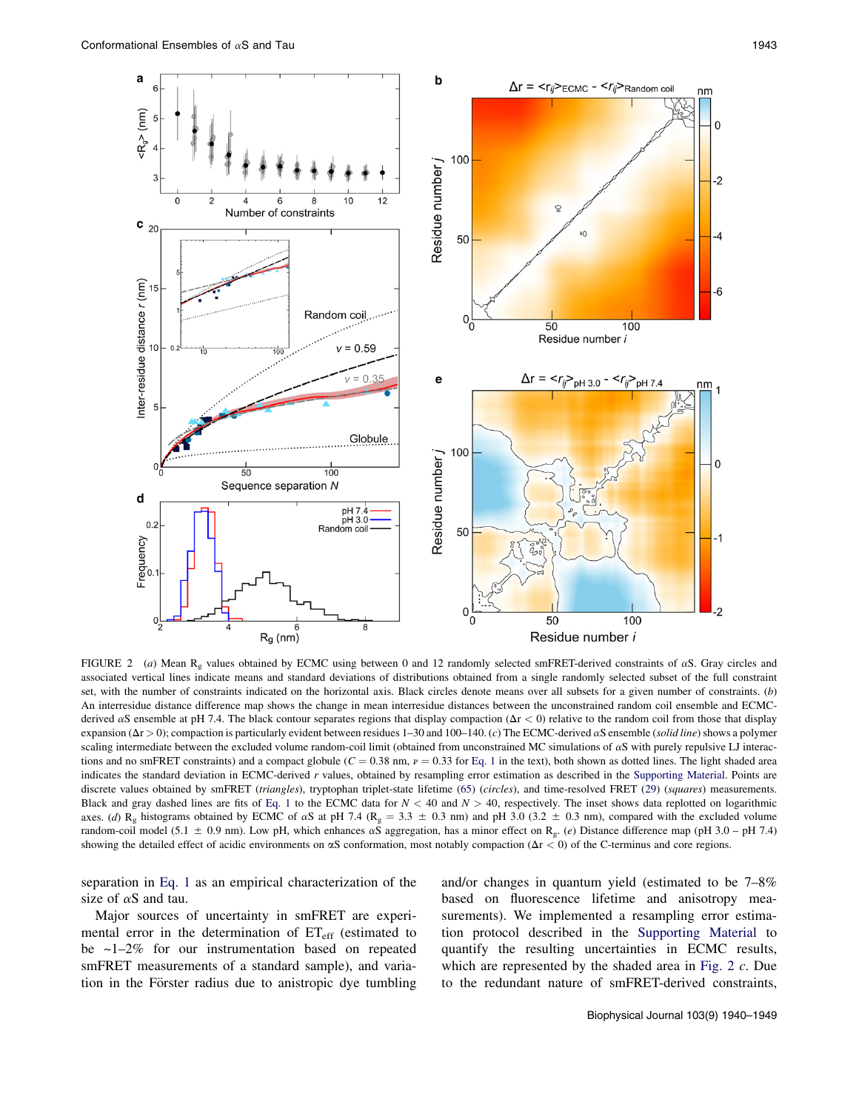a





FIGURE 2 (a) Mean R<sub>g</sub> values obtained by ECMC using between 0 and 12 randomly selected smFRET-derived constraints of  $\alpha$ S. Gray circles and associated vertical lines indicate means and standard deviations of distributions obtained from a single randomly selected subset of the full constraint set, with the number of constraints indicated on the horizontal axis. Black circles denote means over all subsets for a given number of constraints. (b) An interresidue distance difference map shows the change in mean interresidue distances between the unconstrained random coil ensemble and ECMCderived  $\alpha$ S ensemble at pH 7.4. The black contour separates regions that display compaction ( $\Delta$ r < 0) relative to the random coil from those that display expansion ( $\Delta r > 0$ ); compaction is particularly evident between residues 1–30 and 100–140. (c) The ECMC-derived  $\alpha S$  ensemble (solid line) shows a polymer scaling intermediate between the excluded volume random-coil limit (obtained from unconstrained MC simulations of  $\alpha S$  with purely repulsive LJ interactions and no smFRET constraints) and a compact globule ( $C = 0.38$  nm,  $\nu = 0.33$  for Eq. 1 in the text), both shown as dotted lines. The light shaded area indicates the standard deviation in ECMC-derived r values, obtained by resampling error estimation as described in the Supporting Material. Points are discrete values obtained by smFRET (triangles), tryptophan triplet-state lifetime (65) (circles), and time-resolved FRET (29) (squares) measurements. Black and gray dashed lines are fits of Eq. 1 to the ECMC data for  $N < 40$  and  $N > 40$ , respectively. The inset shows data replotted on logarithmic axes. (d) R<sub>g</sub> histograms obtained by ECMC of  $\alpha$ S at pH 7.4 (R<sub>g</sub> = 3.3  $\pm$  0.3 nm) and pH 3.0 (3.2  $\pm$  0.3 nm), compared with the excluded volume random-coil model (5.1  $\pm$  0.9 nm). Low pH, which enhances  $\alpha$ S aggregation, has a minor effect on R<sub>g</sub>. (e) Distance difference map (pH 3.0 – pH 7.4) showing the detailed effect of acidic environments on  $\alpha S$  conformation, most notably compaction ( $\Delta r < 0$ ) of the C-terminus and core regions.

separation in Eq. 1 as an empirical characterization of the size of  $\alpha S$  and tau.

Major sources of uncertainty in smFRET are experimental error in the determination of  $ET_{eff}$  (estimated to be  $\sim$ 1–2% for our instrumentation based on repeated smFRET measurements of a standard sample), and variation in the Förster radius due to anistropic dye tumbling and/or changes in quantum yield (estimated to be 7–8% based on fluorescence lifetime and anisotropy measurements). We implemented a resampling error estimation protocol described in the Supporting Material to quantify the resulting uncertainties in ECMC results, which are represented by the shaded area in Fig. 2 c. Due to the redundant nature of smFRET-derived constraints,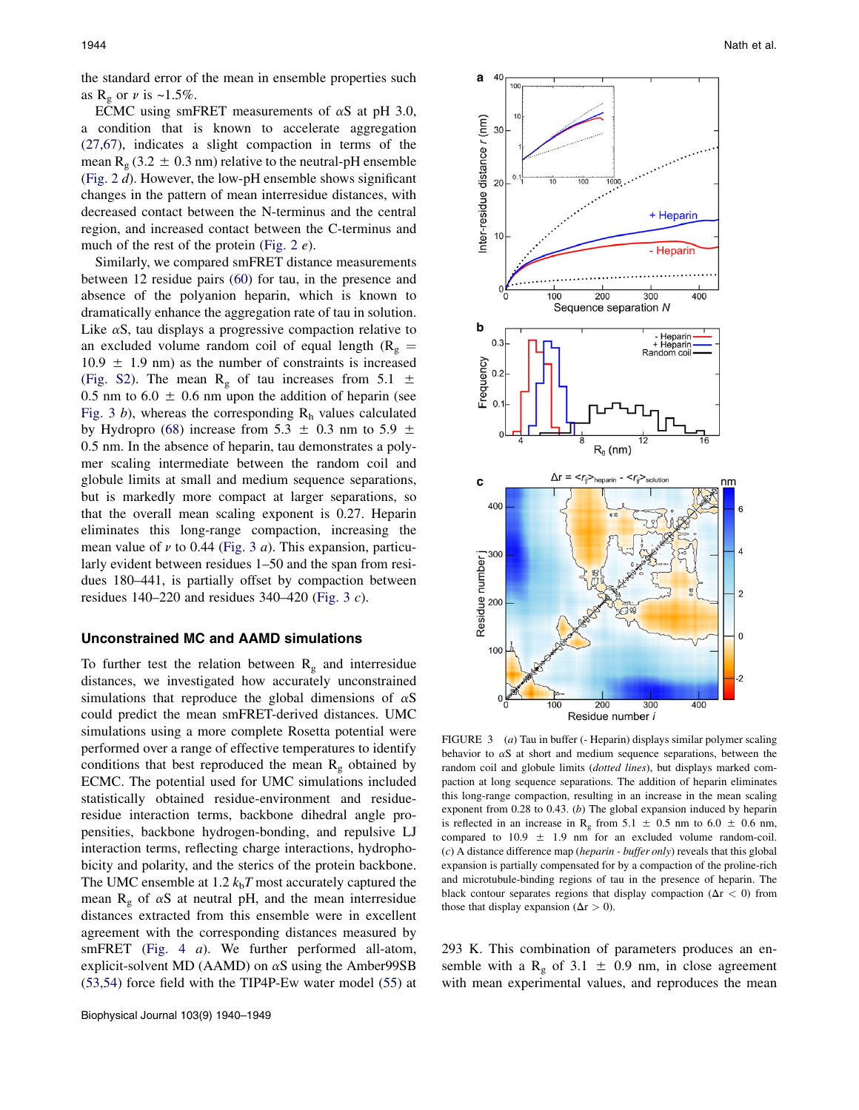the standard error of the mean in ensemble properties such as  $R_g$  or  $\nu$  is ~1.5%.

ECMC using smFRET measurements of  $\alpha$ S at pH 3.0, a condition that is known to accelerate aggregation (27,67), indicates a slight compaction in terms of the mean  $R_g$  (3.2  $\pm$  0.3 nm) relative to the neutral-pH ensemble (Fig. 2 d). However, the low-pH ensemble shows significant changes in the pattern of mean interresidue distances, with decreased contact between the N-terminus and the central region, and increased contact between the C-terminus and much of the rest of the protein (Fig. 2  $e$ ).

Similarly, we compared smFRET distance measurements between 12 residue pairs (60) for tau, in the presence and absence of the polyanion heparin, which is known to dramatically enhance the aggregation rate of tau in solution. Like  $\alpha$ S, tau displays a progressive compaction relative to an excluded volume random coil of equal length ( $R_g$  =  $10.9 \pm 1.9$  nm) as the number of constraints is increased (Fig. S2). The mean  $R_g$  of tau increases from 5.1  $\pm$ 0.5 nm to  $6.0 \pm 0.6$  nm upon the addition of heparin (see Fig. 3 b), whereas the corresponding  $R_h$  values calculated by Hydropro (68) increase from 5.3  $\pm$  0.3 nm to 5.9  $\pm$ 0.5 nm. In the absence of heparin, tau demonstrates a polymer scaling intermediate between the random coil and globule limits at small and medium sequence separations, but is markedly more compact at larger separations, so that the overall mean scaling exponent is 0.27. Heparin eliminates this long-range compaction, increasing the mean value of  $\nu$  to 0.44 (Fig. 3 *a*). This expansion, particularly evident between residues 1–50 and the span from residues 180–441, is partially offset by compaction between residues  $140-220$  and residues  $340-420$  (Fig. 3 c).

## Unconstrained MC and AAMD simulations

To further test the relation between  $R_g$  and interresidue distances, we investigated how accurately unconstrained simulations that reproduce the global dimensions of  $\alpha S$ could predict the mean smFRET-derived distances. UMC simulations using a more complete Rosetta potential were performed over a range of effective temperatures to identify conditions that best reproduced the mean  $R_g$  obtained by ECMC. The potential used for UMC simulations included statistically obtained residue-environment and residueresidue interaction terms, backbone dihedral angle propensities, backbone hydrogen-bonding, and repulsive LJ interaction terms, reflecting charge interactions, hydrophobicity and polarity, and the sterics of the protein backbone. The UMC ensemble at 1.2  $k_bT$  most accurately captured the mean  $R_g$  of  $\alpha S$  at neutral pH, and the mean interresidue distances extracted from this ensemble were in excellent agreement with the corresponding distances measured by smFRET (Fig. 4 a). We further performed all-atom, explicit-solvent MD (AAMD) on  $\alpha$ S using the Amber 99SB (53,54) force field with the TIP4P-Ew water model (55) at



FIGURE 3 (a) Tau in buffer (- Heparin) displays similar polymer scaling behavior to  $\alpha S$  at short and medium sequence separations, between the random coil and globule limits (dotted lines), but displays marked compaction at long sequence separations. The addition of heparin eliminates this long-range compaction, resulting in an increase in the mean scaling exponent from 0.28 to 0.43. (b) The global expansion induced by heparin is reflected in an increase in R<sub>g</sub> from 5.1  $\pm$  0.5 nm to 6.0  $\pm$  0.6 nm, compared to 10.9  $\pm$  1.9 nm for an excluded volume random-coil.  $(c)$  A distance difference map (*heparin - buffer only*) reveals that this global expansion is partially compensated for by a compaction of the proline-rich and microtubule-binding regions of tau in the presence of heparin. The black contour separates regions that display compaction ( $\Delta r < 0$ ) from those that display expansion ( $\Delta r > 0$ ).

293 K. This combination of parameters produces an ensemble with a R<sub>g</sub> of 3.1  $\pm$  0.9 nm, in close agreement with mean experimental values, and reproduces the mean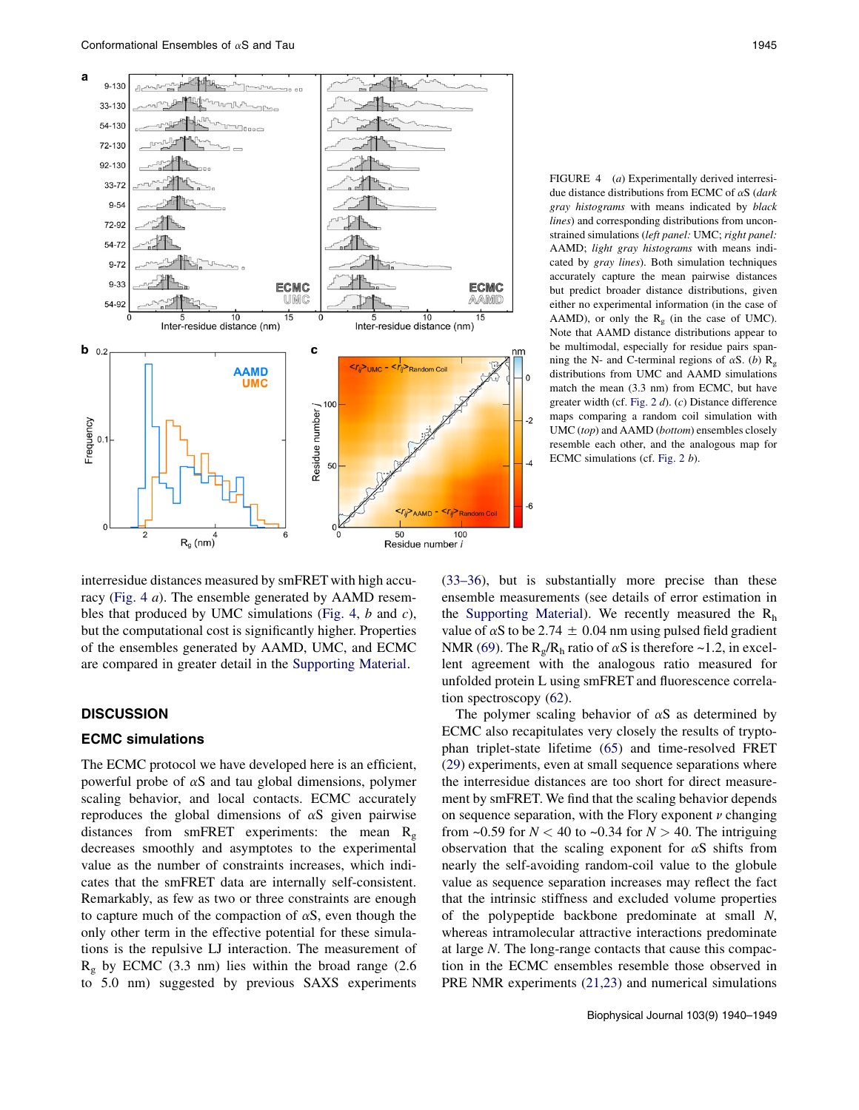

FIGURE 4 (a) Experimentally derived interresidue distance distributions from ECMC of  $\alpha S$  (dark gray histograms with means indicated by black lines) and corresponding distributions from unconstrained simulations (left panel: UMC; right panel: AAMD; light gray histograms with means indicated by gray lines). Both simulation techniques accurately capture the mean pairwise distances but predict broader distance distributions, given either no experimental information (in the case of AAMD), or only the  $R_g$  (in the case of UMC). Note that AAMD distance distributions appear to be multimodal, especially for residue pairs spanning the N- and C-terminal regions of  $\alpha S$ . (b)  $R_g$ distributions from UMC and AAMD simulations match the mean (3.3 nm) from ECMC, but have greater width (cf. Fig. 2 d). (c) Distance difference maps comparing a random coil simulation with UMC (top) and AAMD (bottom) ensembles closely resemble each other, and the analogous map for ECMC simulations (cf. Fig. 2 b).

interresidue distances measured by smFRET with high accuracy (Fig. 4 a). The ensemble generated by AAMD resembles that produced by UMC simulations (Fig. 4,  $b$  and  $c$ ), but the computational cost is significantly higher. Properties of the ensembles generated by AAMD, UMC, and ECMC are compared in greater detail in the Supporting Material.

#### **DISCUSSION**

## ECMC simulations

The ECMC protocol we have developed here is an efficient, powerful probe of  $\alpha S$  and tau global dimensions, polymer scaling behavior, and local contacts. ECMC accurately reproduces the global dimensions of  $\alpha S$  given pairwise distances from smFRET experiments: the mean  $R_g$ decreases smoothly and asymptotes to the experimental value as the number of constraints increases, which indicates that the smFRET data are internally self-consistent. Remarkably, as few as two or three constraints are enough to capture much of the compaction of  $\alpha S$ , even though the only other term in the effective potential for these simulations is the repulsive LJ interaction. The measurement of  $R<sub>g</sub>$  by ECMC (3.3 nm) lies within the broad range (2.6) to 5.0 nm) suggested by previous SAXS experiments (33–36), but is substantially more precise than these ensemble measurements (see details of error estimation in the Supporting Material). We recently measured the  $R<sub>h</sub>$ value of  $\alpha$ S to be 2.74  $\pm$  0.04 nm using pulsed field gradient NMR (69). The  $R_g/R_h$  ratio of  $\alpha S$  is therefore ~1.2, in excellent agreement with the analogous ratio measured for unfolded protein L using smFRET and fluorescence correlation spectroscopy (62).

The polymer scaling behavior of  $\alpha$ S as determined by ECMC also recapitulates very closely the results of tryptophan triplet-state lifetime (65) and time-resolved FRET (29) experiments, even at small sequence separations where the interresidue distances are too short for direct measurement by smFRET. We find that the scaling behavior depends on sequence separation, with the Flory exponent  $\nu$  changing from ~0.59 for  $N < 40$  to ~0.34 for  $N > 40$ . The intriguing observation that the scaling exponent for  $\alpha S$  shifts from nearly the self-avoiding random-coil value to the globule value as sequence separation increases may reflect the fact that the intrinsic stiffness and excluded volume properties of the polypeptide backbone predominate at small N, whereas intramolecular attractive interactions predominate at large N. The long-range contacts that cause this compaction in the ECMC ensembles resemble those observed in PRE NMR experiments (21,23) and numerical simulations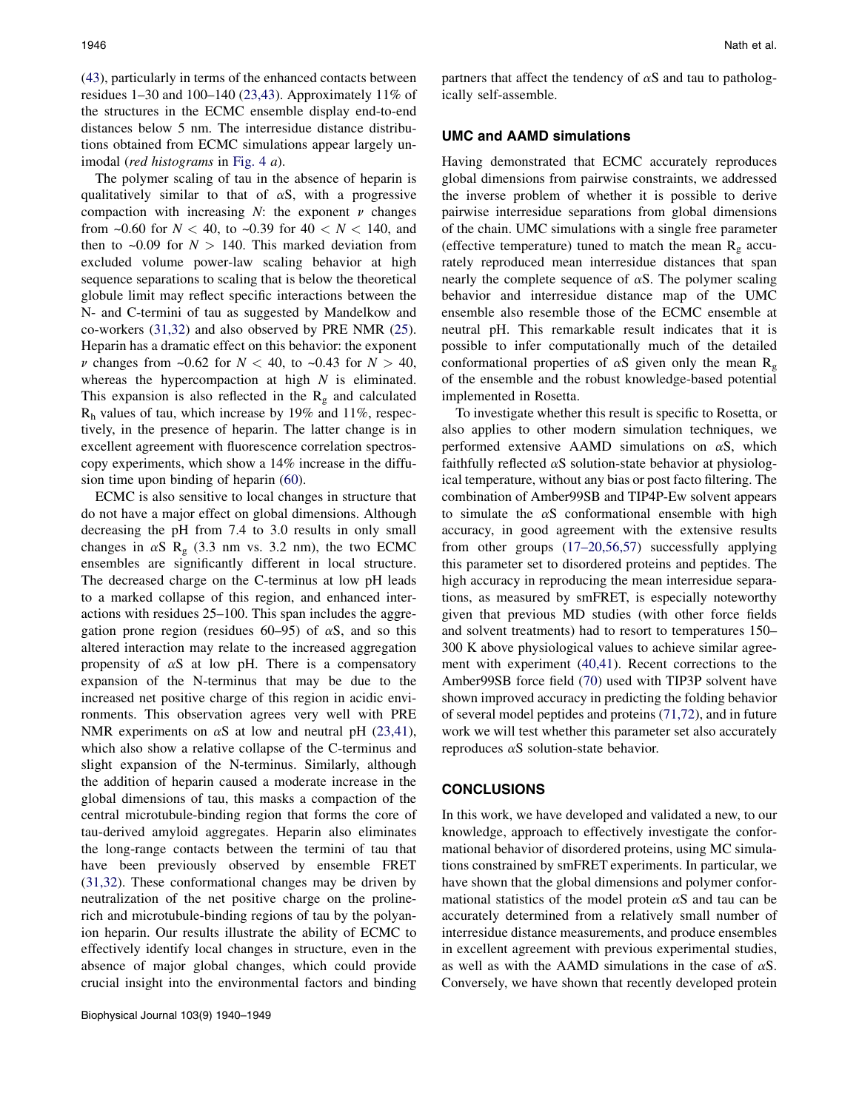(43), particularly in terms of the enhanced contacts between residues  $1-30$  and  $100-140$  (23,43). Approximately  $11\%$  of the structures in the ECMC ensemble display end-to-end distances below 5 nm. The interresidue distance distributions obtained from ECMC simulations appear largely unimodal (red histograms in Fig. 4 a).

The polymer scaling of tau in the absence of heparin is qualitatively similar to that of  $\alpha S$ , with a progressive compaction with increasing  $N$ : the exponent  $\nu$  changes from ~0.60 for  $N < 40$ , to ~0.39 for  $40 < N < 140$ , and then to  $\sim 0.09$  for  $N > 140$ . This marked deviation from excluded volume power-law scaling behavior at high sequence separations to scaling that is below the theoretical globule limit may reflect specific interactions between the N- and C-termini of tau as suggested by Mandelkow and co-workers (31,32) and also observed by PRE NMR (25). Heparin has a dramatic effect on this behavior: the exponent  $\nu$  changes from ~0.62 for  $N < 40$ , to ~0.43 for  $N > 40$ , whereas the hypercompaction at high  $N$  is eliminated. This expansion is also reflected in the  $R<sub>g</sub>$  and calculated  $R<sub>h</sub>$  values of tau, which increase by 19% and 11%, respectively, in the presence of heparin. The latter change is in excellent agreement with fluorescence correlation spectroscopy experiments, which show a 14% increase in the diffusion time upon binding of heparin (60).

ECMC is also sensitive to local changes in structure that do not have a major effect on global dimensions. Although decreasing the pH from 7.4 to 3.0 results in only small changes in  $\alpha S$  R<sub>g</sub> (3.3 nm vs. 3.2 nm), the two ECMC ensembles are significantly different in local structure. The decreased charge on the C-terminus at low pH leads to a marked collapse of this region, and enhanced interactions with residues 25–100. This span includes the aggregation prone region (residues  $60-95$ ) of  $\alpha$ S, and so this altered interaction may relate to the increased aggregation propensity of  $\alpha S$  at low pH. There is a compensatory expansion of the N-terminus that may be due to the increased net positive charge of this region in acidic environments. This observation agrees very well with PRE NMR experiments on  $\alpha$ S at low and neutral pH (23,41), which also show a relative collapse of the C-terminus and slight expansion of the N-terminus. Similarly, although the addition of heparin caused a moderate increase in the global dimensions of tau, this masks a compaction of the central microtubule-binding region that forms the core of tau-derived amyloid aggregates. Heparin also eliminates the long-range contacts between the termini of tau that have been previously observed by ensemble FRET (31,32). These conformational changes may be driven by neutralization of the net positive charge on the prolinerich and microtubule-binding regions of tau by the polyanion heparin. Our results illustrate the ability of ECMC to effectively identify local changes in structure, even in the absence of major global changes, which could provide crucial insight into the environmental factors and binding partners that affect the tendency of  $\alpha S$  and tau to pathologically self-assemble.

#### UMC and AAMD simulations

Having demonstrated that ECMC accurately reproduces global dimensions from pairwise constraints, we addressed the inverse problem of whether it is possible to derive pairwise interresidue separations from global dimensions of the chain. UMC simulations with a single free parameter (effective temperature) tuned to match the mean  $R<sub>g</sub>$  accurately reproduced mean interresidue distances that span nearly the complete sequence of  $\alpha S$ . The polymer scaling behavior and interresidue distance map of the UMC ensemble also resemble those of the ECMC ensemble at neutral pH. This remarkable result indicates that it is possible to infer computationally much of the detailed conformational properties of  $\alpha S$  given only the mean  $R_g$ of the ensemble and the robust knowledge-based potential implemented in Rosetta.

To investigate whether this result is specific to Rosetta, or also applies to other modern simulation techniques, we performed extensive AAMD simulations on  $\alpha S$ , which faithfully reflected  $\alpha S$  solution-state behavior at physiological temperature, without any bias or post facto filtering. The combination of Amber99SB and TIP4P-Ew solvent appears to simulate the  $\alpha S$  conformational ensemble with high accuracy, in good agreement with the extensive results from other groups (17–20,56,57) successfully applying this parameter set to disordered proteins and peptides. The high accuracy in reproducing the mean interresidue separations, as measured by smFRET, is especially noteworthy given that previous MD studies (with other force fields and solvent treatments) had to resort to temperatures 150– 300 K above physiological values to achieve similar agreement with experiment (40,41). Recent corrections to the Amber99SB force field (70) used with TIP3P solvent have shown improved accuracy in predicting the folding behavior of several model peptides and proteins (71,72), and in future work we will test whether this parameter set also accurately reproduces  $\alpha$ S solution-state behavior.

## **CONCLUSIONS**

In this work, we have developed and validated a new, to our knowledge, approach to effectively investigate the conformational behavior of disordered proteins, using MC simulations constrained by smFRET experiments. In particular, we have shown that the global dimensions and polymer conformational statistics of the model protein  $\alpha S$  and tau can be accurately determined from a relatively small number of interresidue distance measurements, and produce ensembles in excellent agreement with previous experimental studies, as well as with the AAMD simulations in the case of  $\alpha S$ . Conversely, we have shown that recently developed protein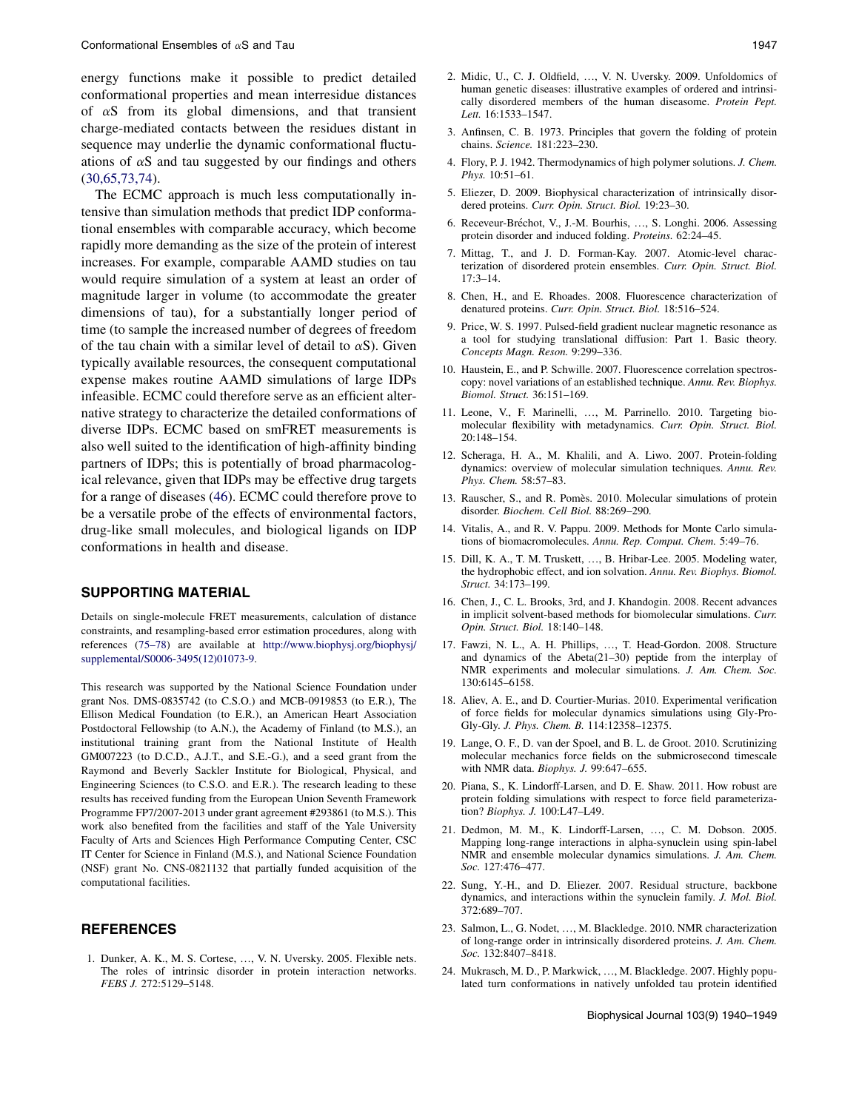energy functions make it possible to predict detailed conformational properties and mean interresidue distances of  $\alpha$ S from its global dimensions, and that transient charge-mediated contacts between the residues distant in sequence may underlie the dynamic conformational fluctuations of  $\alpha S$  and tau suggested by our findings and others (30,65,73,74).

The ECMC approach is much less computationally intensive than simulation methods that predict IDP conformational ensembles with comparable accuracy, which become rapidly more demanding as the size of the protein of interest increases. For example, comparable AAMD studies on tau would require simulation of a system at least an order of magnitude larger in volume (to accommodate the greater dimensions of tau), for a substantially longer period of time (to sample the increased number of degrees of freedom of the tau chain with a similar level of detail to  $\alpha S$ ). Given typically available resources, the consequent computational expense makes routine AAMD simulations of large IDPs infeasible. ECMC could therefore serve as an efficient alternative strategy to characterize the detailed conformations of diverse IDPs. ECMC based on smFRET measurements is also well suited to the identification of high-affinity binding partners of IDPs; this is potentially of broad pharmacological relevance, given that IDPs may be effective drug targets for a range of diseases (46). ECMC could therefore prove to be a versatile probe of the effects of environmental factors, drug-like small molecules, and biological ligands on IDP conformations in health and disease.

# SUPPORTING MATERIAL

Details on single-molecule FRET measurements, calculation of distance constraints, and resampling-based error estimation procedures, along with references (75–78) are available at http://www.biophysj.org/biophysj/ supplemental/S0006-3495(12)01073-9.

This research was supported by the National Science Foundation under grant Nos. DMS-0835742 (to C.S.O.) and MCB-0919853 (to E.R.), The Ellison Medical Foundation (to E.R.), an American Heart Association Postdoctoral Fellowship (to A.N.), the Academy of Finland (to M.S.), an institutional training grant from the National Institute of Health GM007223 (to D.C.D., A.J.T., and S.E.-G.), and a seed grant from the Raymond and Beverly Sackler Institute for Biological, Physical, and Engineering Sciences (to C.S.O. and E.R.). The research leading to these results has received funding from the European Union Seventh Framework Programme FP7/2007-2013 under grant agreement #293861 (to M.S.). This work also benefited from the facilities and staff of the Yale University Faculty of Arts and Sciences High Performance Computing Center, CSC IT Center for Science in Finland (M.S.), and National Science Foundation (NSF) grant No. CNS-0821132 that partially funded acquisition of the computational facilities.

## **REFERENCES**

1. Dunker, A. K., M. S. Cortese, ..., V. N. Uversky. 2005. Flexible nets. The roles of intrinsic disorder in protein interaction networks. FEBS J. 272:5129–5148.

- human genetic diseases: illustrative examples of ordered and intrinsically disordered members of the human diseasome. Protein Pept. Lett. 16:1533–1547.
- 3. Anfinsen, C. B. 1973. Principles that govern the folding of protein chains. Science. 181:223–230.
- 4. Flory, P. J. 1942. Thermodynamics of high polymer solutions. J. Chem. Phys. 10:51–61.
- 5. Eliezer, D. 2009. Biophysical characterization of intrinsically disordered proteins. Curr. Opin. Struct. Biol. 19:23–30.
- 6. Receveur-Bréchot, V., J.-M. Bourhis, ..., S. Longhi. 2006. Assessing protein disorder and induced folding. Proteins. 62:24–45.
- 7. Mittag, T., and J. D. Forman-Kay. 2007. Atomic-level characterization of disordered protein ensembles. Curr. Opin. Struct. Biol. 17:3–14.
- 8. Chen, H., and E. Rhoades. 2008. Fluorescence characterization of denatured proteins. Curr. Opin. Struct. Biol. 18:516–524.
- 9. Price, W. S. 1997. Pulsed-field gradient nuclear magnetic resonance as a tool for studying translational diffusion: Part 1. Basic theory. Concepts Magn. Reson. 9:299–336.
- 10. Haustein, E., and P. Schwille. 2007. Fluorescence correlation spectroscopy: novel variations of an established technique. Annu. Rev. Biophys. Biomol. Struct. 36:151–169.
- 11. Leone, V., F. Marinelli, ..., M. Parrinello. 2010. Targeting biomolecular flexibility with metadynamics. Curr. Opin. Struct. Biol. 20:148–154.
- 12. Scheraga, H. A., M. Khalili, and A. Liwo. 2007. Protein-folding dynamics: overview of molecular simulation techniques. Annu. Rev. Phys. Chem. 58:57–83.
- 13. Rauscher, S., and R. Pomès. 2010. Molecular simulations of protein disorder. Biochem. Cell Biol. 88:269–290.
- 14. Vitalis, A., and R. V. Pappu. 2009. Methods for Monte Carlo simulations of biomacromolecules. Annu. Rep. Comput. Chem. 5:49–76.
- 15. Dill, K. A., T. M. Truskett, ., B. Hribar-Lee. 2005. Modeling water, the hydrophobic effect, and ion solvation. Annu. Rev. Biophys. Biomol. Struct. 34:173–199.
- 16. Chen, J., C. L. Brooks, 3rd, and J. Khandogin. 2008. Recent advances in implicit solvent-based methods for biomolecular simulations. Curr. Opin. Struct. Biol. 18:140–148.
- 17. Fawzi, N. L., A. H. Phillips, ..., T. Head-Gordon. 2008. Structure and dynamics of the Abeta(21–30) peptide from the interplay of NMR experiments and molecular simulations. J. Am. Chem. Soc. 130:6145–6158.
- 18. Aliev, A. E., and D. Courtier-Murias. 2010. Experimental verification of force fields for molecular dynamics simulations using Gly-Pro-Gly-Gly. J. Phys. Chem. B. 114:12358–12375.
- 19. Lange, O. F., D. van der Spoel, and B. L. de Groot. 2010. Scrutinizing molecular mechanics force fields on the submicrosecond timescale with NMR data. Biophys. J. 99:647–655.
- 20. Piana, S., K. Lindorff-Larsen, and D. E. Shaw. 2011. How robust are protein folding simulations with respect to force field parameterization? Biophys. J. 100:L47–L49.
- 21. Dedmon, M. M., K. Lindorff-Larsen, ..., C. M. Dobson. 2005. Mapping long-range interactions in alpha-synuclein using spin-label NMR and ensemble molecular dynamics simulations. J. Am. Chem. Soc. 127:476–477.
- 22. Sung, Y.-H., and D. Eliezer. 2007. Residual structure, backbone dynamics, and interactions within the synuclein family. J. Mol. Biol. 372:689–707.
- 23. Salmon, L., G. Nodet, ..., M. Blackledge. 2010. NMR characterization of long-range order in intrinsically disordered proteins. J. Am. Chem. Soc. 132:8407–8418.
- 24. Mukrasch, M. D., P. Markwick, ..., M. Blackledge. 2007. Highly populated turn conformations in natively unfolded tau protein identified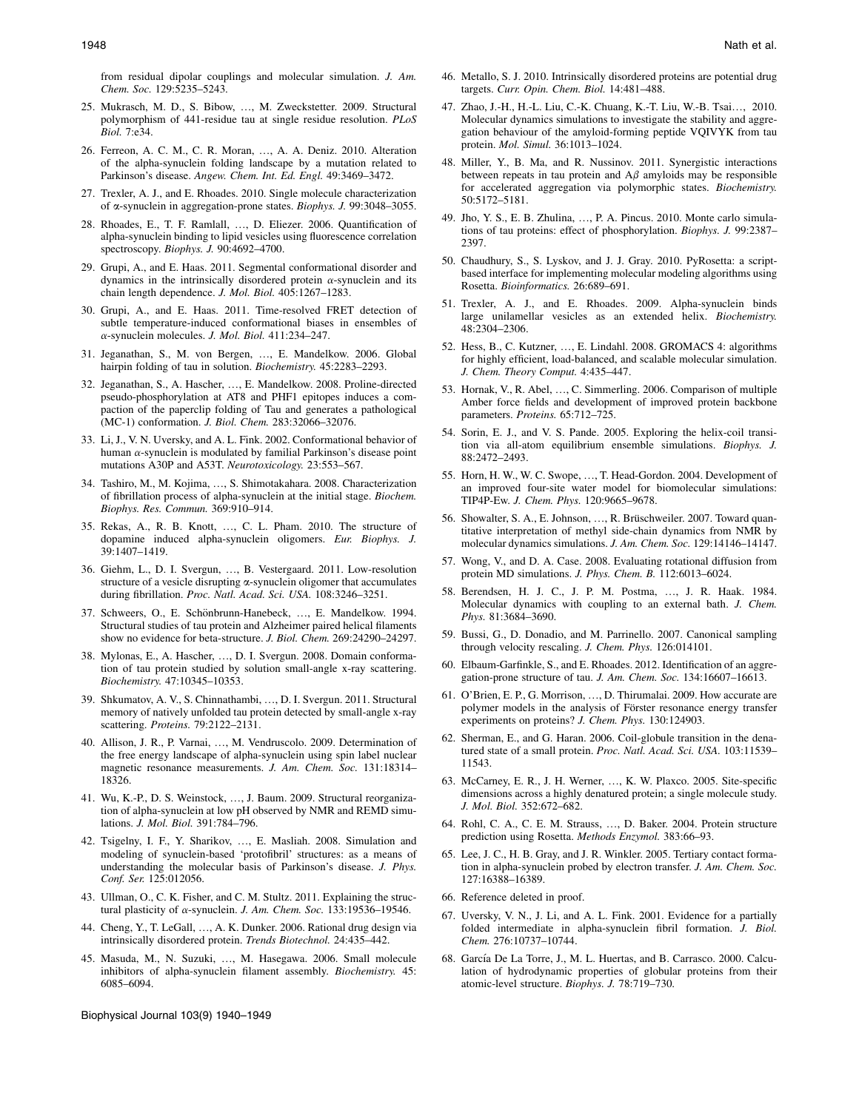from residual dipolar couplings and molecular simulation. J. Am. Chem. Soc. 129:5235–5243.

- 25. Mukrasch, M. D., S. Bibow, ..., M. Zweckstetter. 2009. Structural polymorphism of 441-residue tau at single residue resolution. PLoS Biol. 7:e34.
- 26. Ferreon, A. C. M., C. R. Moran, ..., A. A. Deniz. 2010. Alteration of the alpha-synuclein folding landscape by a mutation related to Parkinson's disease. Angew. Chem. Int. Ed. Engl. 49:3469–3472.
- 27. Trexler, A. J., and E. Rhoades. 2010. Single molecule characterization of a-synuclein in aggregation-prone states. Biophys. J. 99:3048–3055.
- 28. Rhoades, E., T. F. Ramlall, ..., D. Eliezer. 2006. Quantification of alpha-synuclein binding to lipid vesicles using fluorescence correlation spectroscopy. Biophys. J. 90:4692–4700.
- 29. Grupi, A., and E. Haas. 2011. Segmental conformational disorder and dynamics in the intrinsically disordered protein  $\alpha$ -synuclein and its chain length dependence. J. Mol. Biol. 405:1267-1283.
- 30. Grupi, A., and E. Haas. 2011. Time-resolved FRET detection of subtle temperature-induced conformational biases in ensembles of a-synuclein molecules. J. Mol. Biol. 411:234–247.
- 31. Jeganathan, S., M. von Bergen, ..., E. Mandelkow. 2006. Global hairpin folding of tau in solution. Biochemistry. 45:2283–2293.
- 32. Jeganathan, S., A. Hascher, ., E. Mandelkow. 2008. Proline-directed pseudo-phosphorylation at AT8 and PHF1 epitopes induces a compaction of the paperclip folding of Tau and generates a pathological (MC-1) conformation. J. Biol. Chem. 283:32066–32076.
- 33. Li, J., V. N. Uversky, and A. L. Fink. 2002. Conformational behavior of human  $\alpha$ -synuclein is modulated by familial Parkinson's disease point mutations A30P and A53T. Neurotoxicology. 23:553–567.
- 34. Tashiro, M., M. Kojima, ..., S. Shimotakahara. 2008. Characterization of fibrillation process of alpha-synuclein at the initial stage. Biochem. Biophys. Res. Commun. 369:910–914.
- 35. Rekas, A., R. B. Knott, ., C. L. Pham. 2010. The structure of dopamine induced alpha-synuclein oligomers. Eur. Biophys. J. 39:1407–1419.
- 36. Giehm, L., D. I. Svergun, ..., B. Vestergaard. 2011. Low-resolution structure of a vesicle disrupting  $\alpha$ -synuclein oligomer that accumulates during fibrillation. Proc. Natl. Acad. Sci. USA. 108:3246–3251.
- 37. Schweers, O., E. Schönbrunn-Hanebeck, ..., E. Mandelkow. 1994. Structural studies of tau protein and Alzheimer paired helical filaments show no evidence for beta-structure. J. Biol. Chem. 269:24290–24297.
- 38. Mylonas, E., A. Hascher, ., D. I. Svergun. 2008. Domain conformation of tau protein studied by solution small-angle x-ray scattering. Biochemistry. 47:10345–10353.
- 39. Shkumatov, A. V., S. Chinnathambi, ., D. I. Svergun. 2011. Structural memory of natively unfolded tau protein detected by small-angle x-ray scattering. Proteins. 79:2122–2131.
- 40. Allison, J. R., P. Varnai, ., M. Vendruscolo. 2009. Determination of the free energy landscape of alpha-synuclein using spin label nuclear magnetic resonance measurements. J. Am. Chem. Soc. 131:18314– 18326.
- 41. Wu, K.-P., D. S. Weinstock, ..., J. Baum. 2009. Structural reorganization of alpha-synuclein at low pH observed by NMR and REMD simulations. J. Mol. Biol. 391:784–796.
- 42. Tsigelny, I. F., Y. Sharikov, ..., E. Masliah. 2008. Simulation and modeling of synuclein-based 'protofibril' structures: as a means of understanding the molecular basis of Parkinson's disease. J. Phys. Conf. Ser. 125:012056.
- 43. Ullman, O., C. K. Fisher, and C. M. Stultz. 2011. Explaining the structural plasticity of  $\alpha$ -synuclein. J. Am. Chem. Soc. 133:19536-19546.
- 44. Cheng, Y., T. LeGall, ..., A. K. Dunker. 2006. Rational drug design via intrinsically disordered protein. Trends Biotechnol. 24:435–442.
- 45. Masuda, M., N. Suzuki, ., M. Hasegawa. 2006. Small molecule inhibitors of alpha-synuclein filament assembly. Biochemistry. 45: 6085–6094.

Biophysical Journal 103(9) 1940–1949

- 46. Metallo, S. J. 2010. Intrinsically disordered proteins are potential drug targets. Curr. Opin. Chem. Biol. 14:481–488.
- 47. Zhao, J.-H., H.-L. Liu, C.-K. Chuang, K.-T. Liu, W.-B. Tsai., 2010. Molecular dynamics simulations to investigate the stability and aggregation behaviour of the amyloid-forming peptide VQIVYK from tau protein. Mol. Simul. 36:1013–1024.
- 48. Miller, Y., B. Ma, and R. Nussinov. 2011. Synergistic interactions between repeats in tau protein and  $A\beta$  amyloids may be responsible for accelerated aggregation via polymorphic states. Biochemistry. 50:5172–5181.
- 49. Jho, Y. S., E. B. Zhulina, ., P. A. Pincus. 2010. Monte carlo simulations of tau proteins: effect of phosphorylation. Biophys. J. 99:2387– 2397.
- 50. Chaudhury, S., S. Lyskov, and J. J. Gray. 2010. PyRosetta: a scriptbased interface for implementing molecular modeling algorithms using Rosetta. Bioinformatics. 26:689–691.
- 51. Trexler, A. J., and E. Rhoades. 2009. Alpha-synuclein binds large unilamellar vesicles as an extended helix. Biochemistry. 48:2304–2306.
- 52. Hess, B., C. Kutzner, ..., E. Lindahl. 2008. GROMACS 4: algorithms for highly efficient, load-balanced, and scalable molecular simulation. J. Chem. Theory Comput. 4:435–447.
- 53. Hornak, V., R. Abel, ., C. Simmerling. 2006. Comparison of multiple Amber force fields and development of improved protein backbone parameters. Proteins. 65:712–725.
- 54. Sorin, E. J., and V. S. Pande. 2005. Exploring the helix-coil transition via all-atom equilibrium ensemble simulations. Biophys. J. 88:2472–2493.
- 55. Horn, H. W., W. C. Swope, ..., T. Head-Gordon. 2004. Development of an improved four-site water model for biomolecular simulations: TIP4P-Ew. J. Chem. Phys. 120:9665–9678.
- 56. Showalter, S. A., E. Johnson, ..., R. Brüschweiler. 2007. Toward quantitative interpretation of methyl side-chain dynamics from NMR by molecular dynamics simulations. J. Am. Chem. Soc. 129:14146–14147.
- 57. Wong, V., and D. A. Case. 2008. Evaluating rotational diffusion from protein MD simulations. J. Phys. Chem. B. 112:6013–6024.
- 58. Berendsen, H. J. C., J. P. M. Postma, ..., J. R. Haak. 1984. Molecular dynamics with coupling to an external bath. *J. Chem.* Phys. 81:3684–3690.
- 59. Bussi, G., D. Donadio, and M. Parrinello. 2007. Canonical sampling through velocity rescaling. J. Chem. Phys. 126:014101.
- 60. Elbaum-Garfinkle, S., and E. Rhoades. 2012. Identification of an aggregation-prone structure of tau. J. Am. Chem. Soc. 134:16607–16613.
- 61. O'Brien, E. P., G. Morrison, ., D. Thirumalai. 2009. How accurate are polymer models in the analysis of Förster resonance energy transfer experiments on proteins? J. Chem. Phys. 130:124903.
- 62. Sherman, E., and G. Haran. 2006. Coil-globule transition in the denatured state of a small protein. Proc. Natl. Acad. Sci. USA. 103:11539-11543.
- 63. McCarney, E. R., J. H. Werner, ., K. W. Plaxco. 2005. Site-specific dimensions across a highly denatured protein; a single molecule study. J. Mol. Biol. 352:672–682.
- 64. Rohl, C. A., C. E. M. Strauss, ..., D. Baker. 2004. Protein structure prediction using Rosetta. Methods Enzymol. 383:66–93.
- 65. Lee, J. C., H. B. Gray, and J. R. Winkler. 2005. Tertiary contact formation in alpha-synuclein probed by electron transfer. J. Am. Chem. Soc. 127:16388–16389.
- 66. Reference deleted in proof.
- 67. Uversky, V. N., J. Li, and A. L. Fink. 2001. Evidence for a partially folded intermediate in alpha-synuclein fibril formation. J. Biol. Chem. 276:10737–10744.
- 68. García De La Torre, J., M. L. Huertas, and B. Carrasco. 2000. Calculation of hydrodynamic properties of globular proteins from their atomic-level structure. Biophys. J. 78:719–730.